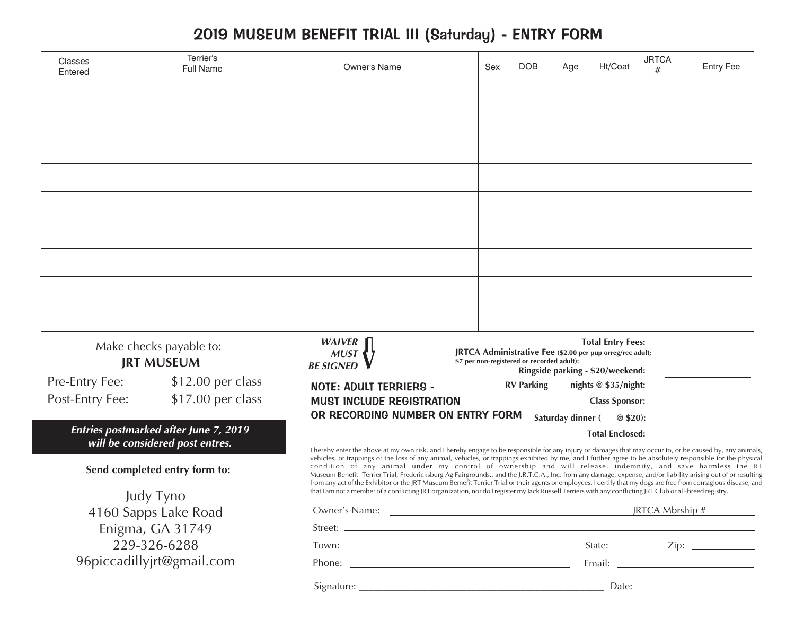## 2019 MUSEUM BENEFIT TRIAL III (Saturday) - ENTRY FORM

| Classes<br>Entered                                                              | Terrier's<br><b>Full Name</b> | Owner's Name                                                                                                                                                                                                                                                                                                                                                                                                                                                                                                                                                                                                    | Sex | <b>DOB</b> | Age                                  | Ht/Coat | <b>JRTCA</b><br># | <b>Entry Fee</b> |  |
|---------------------------------------------------------------------------------|-------------------------------|-----------------------------------------------------------------------------------------------------------------------------------------------------------------------------------------------------------------------------------------------------------------------------------------------------------------------------------------------------------------------------------------------------------------------------------------------------------------------------------------------------------------------------------------------------------------------------------------------------------------|-----|------------|--------------------------------------|---------|-------------------|------------------|--|
|                                                                                 |                               |                                                                                                                                                                                                                                                                                                                                                                                                                                                                                                                                                                                                                 |     |            |                                      |         |                   |                  |  |
|                                                                                 |                               |                                                                                                                                                                                                                                                                                                                                                                                                                                                                                                                                                                                                                 |     |            |                                      |         |                   |                  |  |
|                                                                                 |                               |                                                                                                                                                                                                                                                                                                                                                                                                                                                                                                                                                                                                                 |     |            |                                      |         |                   |                  |  |
|                                                                                 |                               |                                                                                                                                                                                                                                                                                                                                                                                                                                                                                                                                                                                                                 |     |            |                                      |         |                   |                  |  |
|                                                                                 |                               |                                                                                                                                                                                                                                                                                                                                                                                                                                                                                                                                                                                                                 |     |            |                                      |         |                   |                  |  |
|                                                                                 |                               |                                                                                                                                                                                                                                                                                                                                                                                                                                                                                                                                                                                                                 |     |            |                                      |         |                   |                  |  |
|                                                                                 |                               |                                                                                                                                                                                                                                                                                                                                                                                                                                                                                                                                                                                                                 |     |            |                                      |         |                   |                  |  |
|                                                                                 |                               |                                                                                                                                                                                                                                                                                                                                                                                                                                                                                                                                                                                                                 |     |            |                                      |         |                   |                  |  |
|                                                                                 |                               |                                                                                                                                                                                                                                                                                                                                                                                                                                                                                                                                                                                                                 |     |            |                                      |         |                   |                  |  |
| Make checks payable to:<br><b>JRT MUSEUM</b>                                    |                               | WAIVER<br><b>Total Entry Fees:</b><br>JRTCA Administrative Fee (\$2.00 per pup orreg/rec adult;<br>\$7 per non-registered or recorded adult):<br><b>BE SIGNED</b><br>Ringside parking - \$20/weekend:                                                                                                                                                                                                                                                                                                                                                                                                           |     |            |                                      |         |                   |                  |  |
| Pre-Entry Fee:                                                                  | \$12.00 per class             | <b>NOTE: ADULT TERRIERS -</b>                                                                                                                                                                                                                                                                                                                                                                                                                                                                                                                                                                                   |     |            | RV Parking ____ nights @ \$35/night: |         |                   |                  |  |
| \$17.00 per class<br>Post-Entry Fee:                                            |                               | <b>MUST INCLUDE REGISTRATION</b><br><b>Class Sponsor:</b>                                                                                                                                                                                                                                                                                                                                                                                                                                                                                                                                                       |     |            |                                      |         |                   |                  |  |
|                                                                                 |                               | OR RECORDING NUMBER ON ENTRY FORM                                                                                                                                                                                                                                                                                                                                                                                                                                                                                                                                                                               |     |            | Saturday dinner ( @ \$20):           |         |                   |                  |  |
| <b>Entries postmarked after June 7, 2019</b><br>will be considered post entres. |                               | <b>Total Enclosed:</b><br>I hereby enter the above at my own risk, and I hereby engage to be responsible for any injury or damages that may occur to, or be caused by, any animals,                                                                                                                                                                                                                                                                                                                                                                                                                             |     |            |                                      |         |                   |                  |  |
|                                                                                 | Send completed entry form to: | vehicles, or trappings or the loss of any animal, vehicles, or trappings exhibited by me, and I further agree to be absolutely responsible for the physical<br>condition of any animal under my control of ownership and will release, indemnify, and save harmless the RT<br>Museum Benefit Terrier Trial, Fredericksburg Ag Fairgrounds., and the J.R.T.C.A., Inc. from any damage, expense, and/or liability arising out of or resulting<br>from any act of the Exhibitor or the JRT Museum Bemefit Terrier Trial or their agents or employees. I certify that my dogs are free from contagious disease, and |     |            |                                      |         |                   |                  |  |
|                                                                                 | Judy Tyno                     | that I am not a member of a conflicting JRT organization, nor do I register my Jack Russell Terriers with any conflicting JRT Club or all-breed registry.                                                                                                                                                                                                                                                                                                                                                                                                                                                       |     |            |                                      |         |                   |                  |  |
| 4160 Sapps Lake Road                                                            |                               | JRTCA Mbrship #                                                                                                                                                                                                                                                                                                                                                                                                                                                                                                                                                                                                 |     |            |                                      |         |                   |                  |  |
| Enigma, GA 31749                                                                |                               |                                                                                                                                                                                                                                                                                                                                                                                                                                                                                                                                                                                                                 |     |            |                                      |         |                   |                  |  |
| 229-326-6288                                                                    |                               |                                                                                                                                                                                                                                                                                                                                                                                                                                                                                                                                                                                                                 |     |            |                                      |         |                   |                  |  |
| 96piccadillyjrt@gmail.com                                                       |                               |                                                                                                                                                                                                                                                                                                                                                                                                                                                                                                                                                                                                                 |     |            |                                      |         |                   |                  |  |
|                                                                                 |                               |                                                                                                                                                                                                                                                                                                                                                                                                                                                                                                                                                                                                                 |     |            |                                      |         |                   |                  |  |